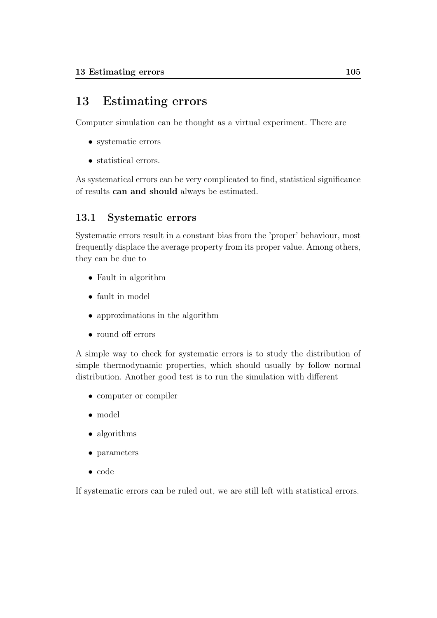# 13 Estimating errors

Computer simulation can be thought as a virtual experiment. There are

- systematic errors
- statistical errors.

As systematical errors can be very complicated to find, statistical significance of results can and should always be estimated.

# 13.1 Systematic errors

Systematic errors result in a constant bias from the 'proper' behaviour, most frequently displace the average property from its proper value. Among others, they can be due to

- Fault in algorithm
- fault in model
- approximations in the algorithm
- round off errors

A simple way to check for systematic errors is to study the distribution of simple thermodynamic properties, which should usually by follow normal distribution. Another good test is to run the simulation with different

- computer or compiler
- model
- algorithms
- parameters
- code

If systematic errors can be ruled out, we are still left with statistical errors.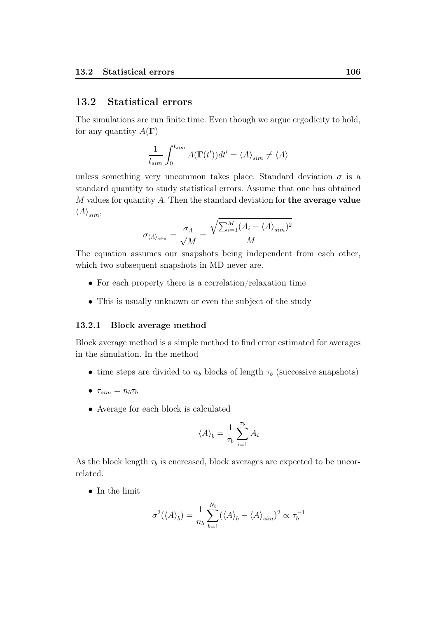## 13.2 Statistical errors

The simulations are run finite time. Even though we argue ergodicity to hold, for any quantity  $A(\Gamma)$ 

$$
\frac{1}{t_{sim}}\int_0^{t_{sim}}A(\Gamma(t'))dt'=\langle A\rangle_{sim}\neq\langle A\rangle
$$

unless something very uncommon takes place. Standard deviation  $\sigma$  is a standard quantity to study statistical errors. Assume that one has obtained  $M$  values for quantity  $A$ . Then the standard deviation for the average value  $\langle A \rangle_{sim}$ 

$$
\sigma_{\langle A \rangle_{sim}} = \frac{\sigma_A}{\sqrt{M}} = \frac{\sqrt{\sum_{i=1}^{M} (A_i - \langle A \rangle_{sim})^2}}{M}
$$

The equation assumes our snapshots being independent from each other, which two subsequent snapshots in MD never are.

- For each property there is a correlation/relaxation time
- This is usually unknown or even the subject of the study

### 13.2.1 Block average method

Block average method is a simple method to find error estimated for averages in the simulation. In the method

- time steps are divided to  $n_b$  blocks of length  $\tau_b$  (successive snapshots)
- $\tau_{sim} = n_b \tau_b$
- Average for each block is calculated

$$
\langle A \rangle_b = \frac{1}{\tau_b} \sum_{i=1}^{\tau_b} A_i
$$

As the block length  $\tau_b$  is encreased, block averages are expected to be uncorrelated.

• In the limit

$$
\sigma^2 (\langle A \rangle_b) = \frac{1}{n_b} \sum_{b=1}^{N_b} (\langle A \rangle_b - \langle A \rangle_{sim})^2 \propto \tau_b^{-1}
$$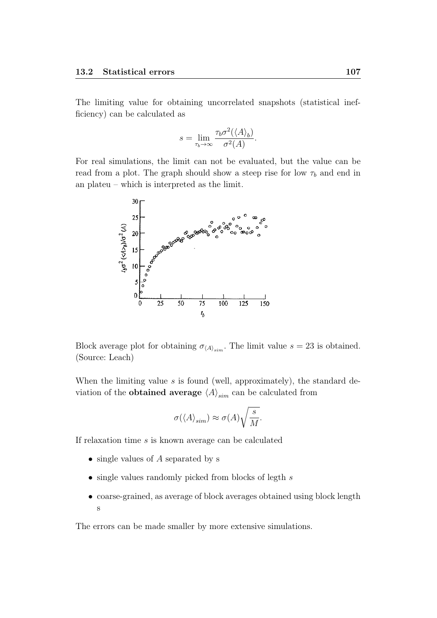The limiting value for obtaining uncorrelated snapshots (statistical inefficiency) can be calculated as

$$
s = \lim_{\tau_b \to \infty} \frac{\tau_b \sigma^2 (\langle A \rangle_b)}{\sigma^2(A)}.
$$

For real simulations, the limit can not be evaluated, but the value can be read from a plot. The graph should show a steep rise for low  $\tau_b$  and end in an plateu – which is interpreted as the limit.



Block average plot for obtaining  $\sigma_{\langle A \rangle_{sim}}$ . The limit value  $s = 23$  is obtained. (Source: Leach)

When the limiting value  $s$  is found (well, approximately), the standard deviation of the **obtained average**  $\langle A \rangle_{sim}$  can be calculated from

$$
\sigma(\langle A \rangle_{sim}) \approx \sigma(A) \sqrt{\frac{s}{M}}.
$$

If relaxation time s is known average can be calculated

- single values of A separated by s
- single values randomly picked from blocks of legth  $s$
- coarse-grained, as average of block averages obtained using block length s

The errors can be made smaller by more extensive simulations.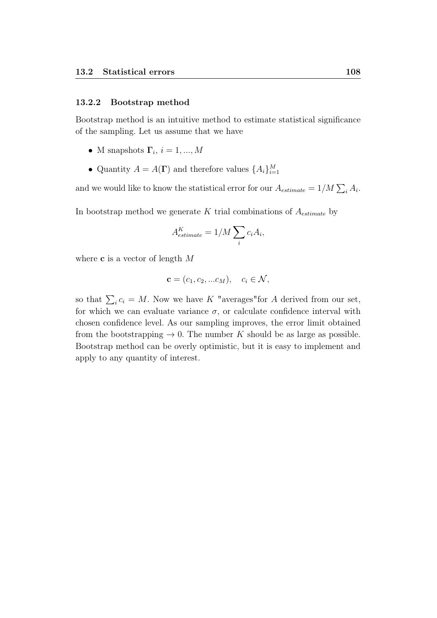#### 13.2.2 Bootstrap method

Bootstrap method is an intuitive method to estimate statistical significance of the sampling. Let us assume that we have

- M snapshots  $\Gamma_i$ ,  $i = 1, ..., M$
- Quantity  $A = A(\Gamma)$  and therefore values  $\{A_i\}_{i=1}^M$

and we would like to know the statistical error for our  $A_{estimate} = 1/M \sum_{i} A_{i}$ .

In bootstrap method we generate K trial combinations of  $A_{estimate}$  by

$$
A^K_{estimate} = 1/M \sum_i c_i A_i,
$$

where **c** is a vector of length M

$$
\mathbf{c} = (c_1, c_2, \dots c_M), \quad c_i \in \mathcal{N},
$$

so that  $\sum_i c_i = M$ . Now we have K "averages" for A derived from our set, for which we can evaluate variance  $\sigma$ , or calculate confidence interval with chosen confidence level. As our sampling improves, the error limit obtained from the bootstrapping  $\rightarrow$  0. The number K should be as large as possible. Bootstrap method can be overly optimistic, but it is easy to implement and apply to any quantity of interest.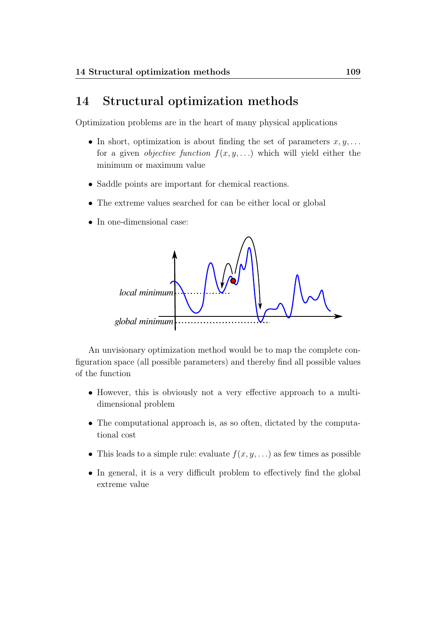# 14 Structural optimization methods

Optimization problems are in the heart of many physical applications

- In short, optimization is about finding the set of parameters  $x, y, \ldots$ for a given *objective function*  $f(x, y, ...)$  which will yield either the minimum or maximum value
- Saddle points are important for chemical reactions.
- The extreme values searched for can be either local or global
- In one-dimensional case:



An unvisionary optimization method would be to map the complete configuration space (all possible parameters) and thereby find all possible values of the function

- However, this is obviously not a very effective approach to a multidimensional problem
- The computational approach is, as so often, dictated by the computational cost
- This leads to a simple rule: evaluate  $f(x, y, ...)$  as few times as possible
- In general, it is a very difficult problem to effectively find the global extreme value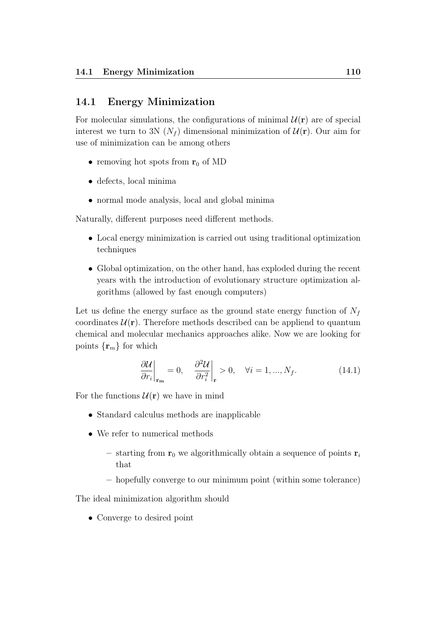## 14.1 Energy Minimization

For molecular simulations, the configurations of minimal  $\mathcal{U}(\mathbf{r})$  are of special interest we turn to 3N ( $N_f$ ) dimensional minimization of  $\mathcal{U}(\mathbf{r})$ . Our aim for use of minimization can be among others

- removing hot spots from  $r_0$  of MD
- defects, local minima
- normal mode analysis, local and global minima

Naturally, different purposes need different methods.

- Local energy minimization is carried out using traditional optimization techniques
- Global optimization, on the other hand, has exploded during the recent years with the introduction of evolutionary structure optimization algorithms (allowed by fast enough computers)

Let us define the energy surface as the ground state energy function of  $N_f$ coordinates  $\mathcal{U}(\mathbf{r})$ . Therefore methods described can be appliend to quantum chemical and molecular mechanics approaches alike. Now we are looking for points  $\{r_m\}$  for which

$$
\left. \frac{\partial \mathcal{U}}{\partial r_i} \right|_{\mathbf{r_m}} = 0, \quad \left. \frac{\partial^2 \mathcal{U}}{\partial r_i^2} \right|_{\mathbf{r}} > 0, \quad \forall i = 1, ..., N_f. \tag{14.1}
$$

For the functions  $\mathcal{U}(\mathbf{r})$  we have in mind

- Standard calculus methods are inapplicable
- We refer to numerical methods
	- starting from  $r_0$  we algorithmically obtain a sequence of points  $r_i$ that
	- hopefully converge to our minimum point (within some tolerance)

The ideal minimization algorithm should

• Converge to desired point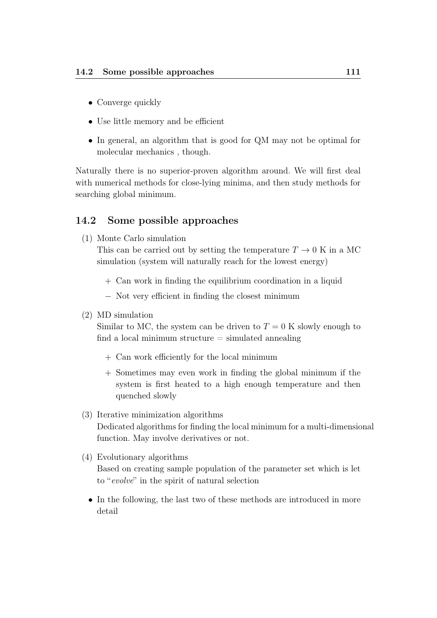- Converge quickly
- Use little memory and be efficient
- In general, an algorithm that is good for QM may not be optimal for molecular mechanics , though.

Naturally there is no superior-proven algorithm around. We will first deal with numerical methods for close-lying minima, and then study methods for searching global minimum.

# 14.2 Some possible approaches

(1) Monte Carlo simulation

This can be carried out by setting the temperature  $T \to 0$  K in a MC simulation (system will naturally reach for the lowest energy)

- + Can work in finding the equilibrium coordination in a liquid
- − Not very efficient in finding the closest minimum
- (2) MD simulation

Similar to MC, the system can be driven to  $T = 0$  K slowly enough to find a local minimum structure  $=$  simulated annealing

- + Can work efficiently for the local minimum
- + Sometimes may even work in finding the global minimum if the system is first heated to a high enough temperature and then quenched slowly
- (3) Iterative minimization algorithms Dedicated algorithms for finding the local minimum for a multi-dimensional function. May involve derivatives or not.
- (4) Evolutionary algorithms Based on creating sample population of the parameter set which is let to "evolve" in the spirit of natural selection
	- In the following, the last two of these methods are introduced in more detail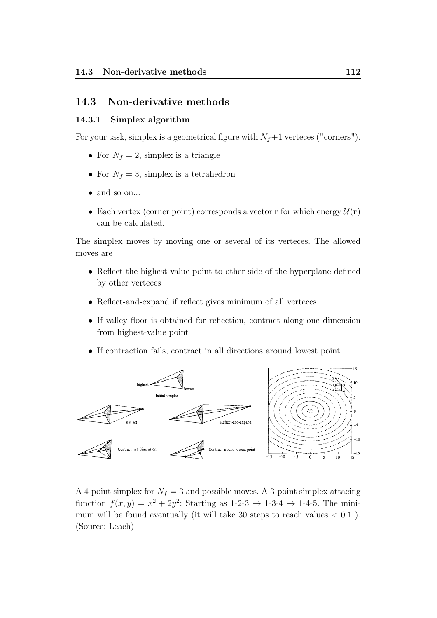# 14.3 Non-derivative methods

### 14.3.1 Simplex algorithm

For your task, simplex is a geometrical figure with  $N_f+1$  verteces ("corners").

- For  $N_f = 2$ , simplex is a triangle
- For  $N_f = 3$ , simplex is a tetrahedron
- and so on...
- Each vertex (corner point) corresponds a vector **r** for which energy  $\mathcal{U}(\mathbf{r})$ can be calculated.

The simplex moves by moving one or several of its verteces. The allowed moves are

- Reflect the highest-value point to other side of the hyperplane defined by other verteces
- Reflect-and-expand if reflect gives minimum of all verteces
- If valley floor is obtained for reflection, contract along one dimension from highest-value point
- If contraction fails, contract in all directions around lowest point.



A 4-point simplex for  $N_f = 3$  and possible moves. A 3-point simplex attacing function  $f(x, y) = x^2 + 2y^2$ : Starting as 1-2-3  $\rightarrow$  1-3-4  $\rightarrow$  1-4-5. The minimum will be found eventually (it will take 30 steps to reach values  $< 0.1$ ). (Source: Leach)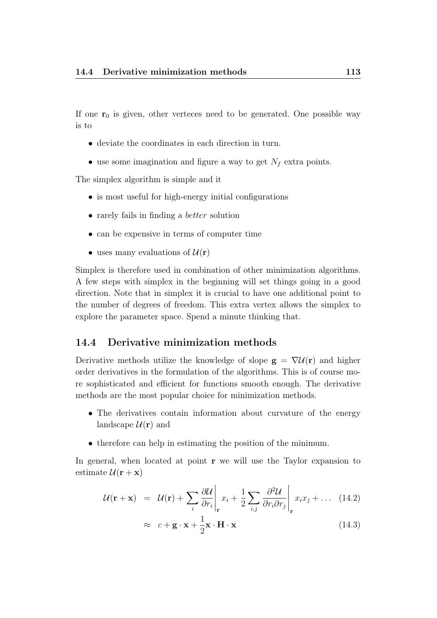If one  $r_0$  is given, other verteces need to be generated. One possible way is to

- deviate the coordinates in each direction in turn.
- use some imagination and figure a way to get  $N_f$  extra points.

The simplex algorithm is simple and it

- is most useful for high-energy initial configurations
- rarely fails in finding a *better* solution
- can be expensive in terms of computer time
- uses many evaluations of  $\mathcal{U}(\mathbf{r})$

Simplex is therefore used in combination of other minimization algorithms. A few steps with simplex in the beginning will set things going in a good direction. Note that in simplex it is crucial to have one additional point to the number of degrees of freedom. This extra vertex allows the simplex to explore the parameter space. Spend a minute thinking that.

## 14.4 Derivative minimization methods

Derivative methods utilize the knowledge of slope  $g = \nabla \mathcal{U}(r)$  and higher order derivatives in the formulation of the algorithms. This is of course more sophisticated and efficient for functions smooth enough. The derivative methods are the most popular choice for minimization methods.

- The derivatives contain information about curvature of the energy landscape  $\mathcal{U}(\mathbf{r})$  and
- therefore can help in estimating the position of the minimum.

In general, when located at point  $\bf{r}$  we will use the Taylor expansion to estimate  $\mathcal{U}(\mathbf{r} + \mathbf{x})$ 

$$
\mathcal{U}(\mathbf{r} + \mathbf{x}) = \mathcal{U}(\mathbf{r}) + \sum_{i} \frac{\partial \mathcal{U}}{\partial r_i} \bigg|_{\mathbf{r}} x_i + \frac{1}{2} \sum_{i,j} \frac{\partial^2 \mathcal{U}}{\partial r_i \partial r_j} \bigg|_{\mathbf{r}} x_i x_j + \dots (14.2)
$$

$$
\approx c + \mathbf{g} \cdot \mathbf{x} + \frac{1}{2} \mathbf{x} \cdot \mathbf{H} \cdot \mathbf{x}
$$
 (14.3)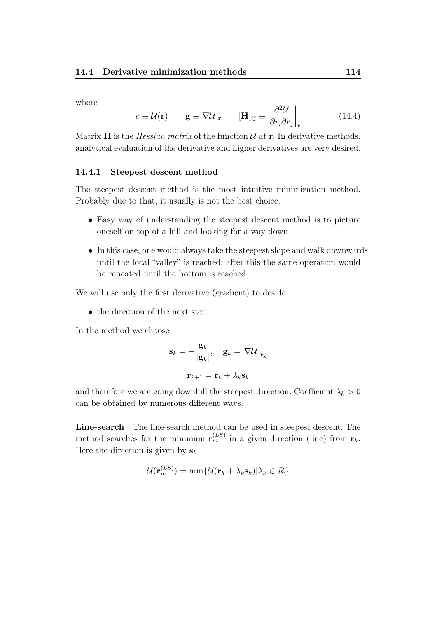where

$$
c \equiv \mathcal{U}(\mathbf{r}) \qquad \mathbf{g} \equiv \nabla \mathcal{U}|_{\mathbf{r}} \qquad [\mathbf{H}]_{ij} \equiv \frac{\partial^2 \mathcal{U}}{\partial r_i \partial r_j}\Big|_{\mathbf{r}} \qquad (14.4)
$$

Matrix H is the *Hessian matrix* of the function  $U$  at r. In derivative methods, analytical evaluation of the derivative and higher derivatives are very desired.

#### 14.4.1 Steepest descent method

The steepest descent method is the most intuitive minimization method. Probably due to that, it usually is not the best choice.

- Easy way of understanding the steepest descent method is to picture oneself on top of a hill and looking for a way down
- In this case, one would always take the steepest slope and walk downwards until the local "valley" is reached; after this the same operation would be repeated until the bottom is reached

We will use only the first derivative (gradient) to deside

• the direction of the next step

In the method we choose

$$
\mathbf{s}_k = -\frac{\mathbf{g}_k}{|\mathbf{g}_k|}, \quad \mathbf{g}_k = \nabla \mathcal{U}|_{\mathbf{r_k}}
$$

$$
\mathbf{r}_{k+1} = \mathbf{r}_k + \lambda_k \mathbf{s}_k
$$

and therefore we are going downhill the steepest direction. Coefficient  $\lambda_k > 0$ can be obtained by numerous different ways.

Line-search The line-search method can be used in steepest descent. The method searches for the minimum  $\mathbf{r}_{m}^{(LS)}$  in a given direction (line) from  $\mathbf{r}_{k}$ . Here the direction is given by  $s_k$ 

$$
\mathcal{U}(\mathbf{r}_{m}^{(LS)}) = \min \{ \mathcal{U}(\mathbf{r}_{k} + \lambda_{k} \mathbf{s}_{k}) | \lambda_{k} \in \mathcal{R} \}
$$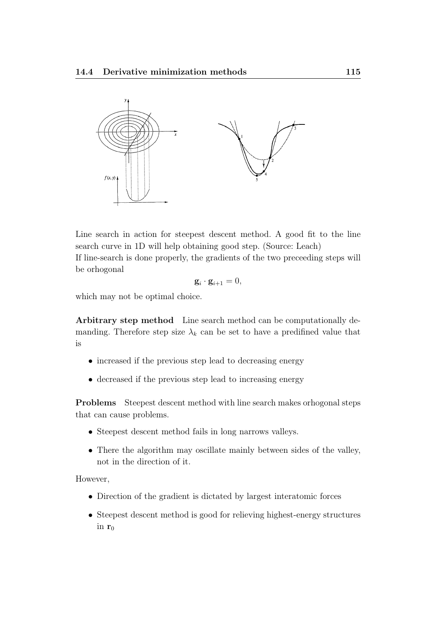

Line search in action for steepest descent method. A good fit to the line search curve in 1D will help obtaining good step. (Source: Leach) If line-search is done properly, the gradients of the two preceeding steps will be orhogonal

$$
\mathbf{g}_i \cdot \mathbf{g}_{i+1} = 0,
$$

which may not be optimal choice.

Arbitrary step method Line search method can be computationally demanding. Therefore step size  $\lambda_k$  can be set to have a predifined value that is

- increased if the previous step lead to decreasing energy
- decreased if the previous step lead to increasing energy

Problems Steepest descent method with line search makes orhogonal steps that can cause problems.

- Steepest descent method fails in long narrows valleys.
- There the algorithm may oscillate mainly between sides of the valley, not in the direction of it.

However,

- Direction of the gradient is dictated by largest interatomic forces
- Steepest descent method is good for relieving highest-energy structures in  $r_0$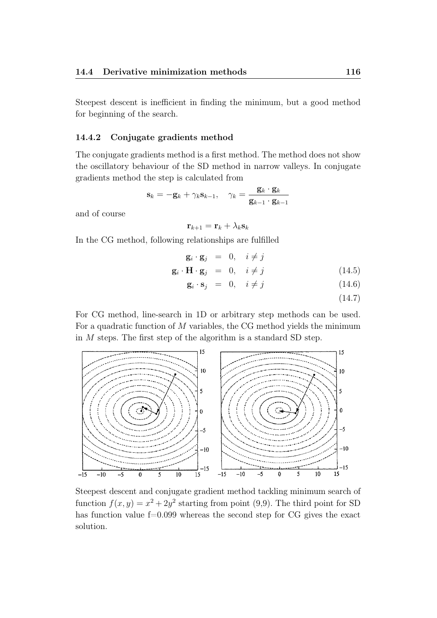Steepest descent is inefficient in finding the minimum, but a good method for beginning of the search.

#### 14.4.2 Conjugate gradients method

The conjugate gradients method is a first method. The method does not show the oscillatory behaviour of the SD method in narrow valleys. In conjugate gradients method the step is calculated from

$$
\mathbf{s}_k = -\mathbf{g}_k + \gamma_k \mathbf{s}_{k-1}, \quad \gamma_k = \frac{\mathbf{g}_k \cdot \mathbf{g}_k}{\mathbf{g}_{k-1} \cdot \mathbf{g}_{k-1}}
$$

and of course

$$
\mathbf{r}_{k+1} = \mathbf{r}_k + \lambda_k \mathbf{s}_k
$$

In the CG method, following relationships are fulfilled

$$
\mathbf{g}_i \cdot \mathbf{g}_j = 0, \quad i \neq j
$$
  

$$
\mathbf{g}_i \cdot \mathbf{H} \cdot \mathbf{g}_j = 0, \quad i \neq j
$$
 (14.5)

$$
\mathbf{g}_i \cdot \mathbf{s}_j = 0, \quad i \neq j \tag{14.6}
$$

(14.7)

For CG method, line-search in 1D or arbitrary step methods can be used. For a quadratic function of  $M$  variables, the CG method yields the minimum in M steps. The first step of the algorithm is a standard SD step.



Steepest descent and conjugate gradient method tackling minimum search of function  $f(x, y) = x^2 + 2y^2$  starting from point (9,9). The third point for SD has function value  $f=0.099$  whereas the second step for CG gives the exact solution.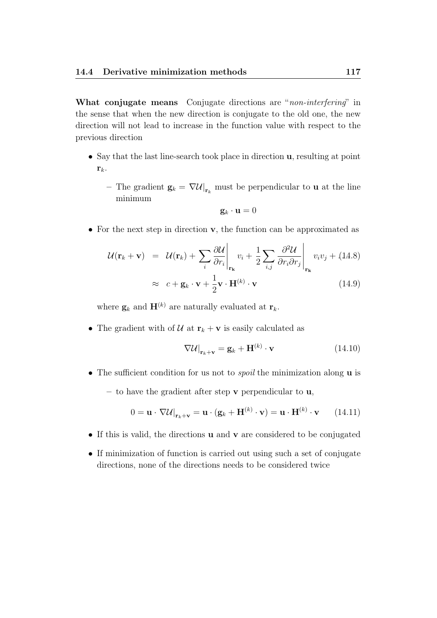What conjugate means Conjugate directions are "non-interfering" in the sense that when the new direction is conjugate to the old one, the new direction will not lead to increase in the function value with respect to the previous direction

- Say that the last line-search took place in direction u, resulting at point  $\mathbf{r}_k$ .
	- The gradient  $\mathbf{g}_k = \nabla \mathcal{U}|_{\mathbf{r}_k}$  must be perpendicular to **u** at the line minimum

$$
\mathbf{g}_k \cdot \mathbf{u} = 0
$$

• For the next step in direction **v**, the function can be approximated as

$$
\mathcal{U}(\mathbf{r}_{k} + \mathbf{v}) = \mathcal{U}(\mathbf{r}_{k}) + \sum_{i} \frac{\partial \mathcal{U}}{\partial r_{i}} \Big|_{\mathbf{r}_{k}} v_{i} + \frac{1}{2} \sum_{i,j} \frac{\partial^{2} \mathcal{U}}{\partial r_{i} \partial r_{j}} \Big|_{\mathbf{r}_{k}} v_{i} v_{j} + (14.8) \n\approx c + \mathbf{g}_{k} \cdot \mathbf{v} + \frac{1}{2} \mathbf{v} \cdot \mathbf{H}^{(k)} \cdot \mathbf{v}
$$
\n(14.9)

where  $\mathbf{g}_k$  and  $\mathbf{H}^{(k)}$  are naturally evaluated at  $\mathbf{r}_k$ .

• The gradient with of  $\mathcal U$  at  $\mathbf r_k + \mathbf v$  is easily calculated as

$$
\nabla \mathcal{U}\big|_{\mathbf{r}_k + \mathbf{v}} = \mathbf{g}_k + \mathbf{H}^{(k)} \cdot \mathbf{v}
$$
 (14.10)

- The sufficient condition for us not to *spoil* the minimization along **u** is
	- to have the gradient after step  $\bf{v}$  perpendicular to  $\bf{u}$ ,

$$
0 = \mathbf{u} \cdot \nabla \mathcal{U}\big|_{\mathbf{r}_k + \mathbf{v}} = \mathbf{u} \cdot (\mathbf{g}_k + \mathbf{H}^{(k)} \cdot \mathbf{v}) = \mathbf{u} \cdot \mathbf{H}^{(k)} \cdot \mathbf{v} \qquad (14.11)
$$

- If this is valid, the directions **u** and **v** are considered to be conjugated
- If minimization of function is carried out using such a set of conjugate directions, none of the directions needs to be considered twice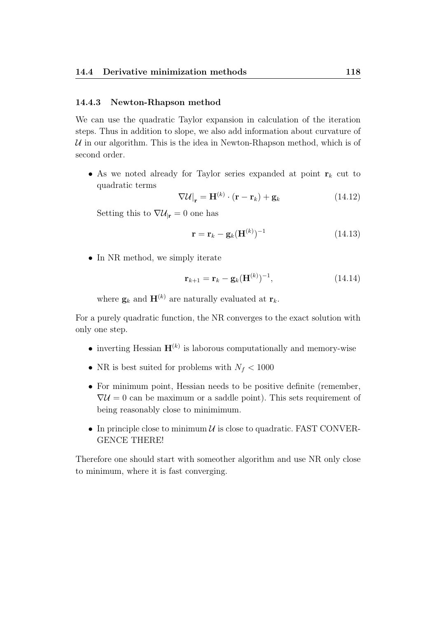#### 14.4.3 Newton-Rhapson method

We can use the quadratic Taylor expansion in calculation of the iteration steps. Thus in addition to slope, we also add information about curvature of  $U$  in our algorithm. This is the idea in Newton-Rhapson method, which is of second order.

• As we noted already for Taylor series expanded at point  $r_k$  cut to quadratic terms

$$
\nabla \mathcal{U}\vert_{\mathbf{r}} = \mathbf{H}^{(k)} \cdot (\mathbf{r} - \mathbf{r}_k) + \mathbf{g}_k \tag{14.12}
$$

Setting this to  $\nabla \mathcal{U}_{\vert \mathbf{r}} = 0$  one has

$$
\mathbf{r} = \mathbf{r}_k - \mathbf{g}_k (\mathbf{H}^{(k)})^{-1} \tag{14.13}
$$

• In NR method, we simply iterate

$$
\mathbf{r}_{k+1} = \mathbf{r}_k - \mathbf{g}_k (\mathbf{H}^{(k)})^{-1}, \tag{14.14}
$$

where  $\mathbf{g}_k$  and  $\mathbf{H}^{(k)}$  are naturally evaluated at  $\mathbf{r}_k$ .

For a purely quadratic function, the NR converges to the exact solution with only one step.

- inverting Hessian  $\mathbf{H}^{(k)}$  is laborous computationally and memory-wise
- NR is best suited for problems with  $N_f < 1000$
- For minimum point, Hessian needs to be positive definite (remember,  $\nabla \mathcal{U} = 0$  can be maximum or a saddle point). This sets requirement of being reasonably close to minimimum.
- In principle close to minimum  $\mathcal U$  is close to quadratic. FAST CONVER-GENCE THERE!

Therefore one should start with someother algorithm and use NR only close to minimum, where it is fast converging.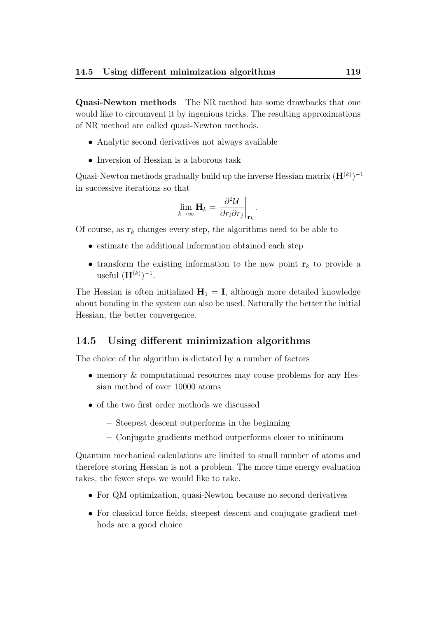Quasi-Newton methods The NR method has some drawbacks that one would like to circumvent it by ingenious tricks. The resulting approximations of NR method are called quasi-Newton methods.

- Analytic second derivatives not always available
- Inversion of Hessian is a laborous task

Quasi-Newton methods gradually build up the inverse Hessian matrix  $(\mathbf{H}^{(k)})^{-1}$ in successive iterations so that

$$
\lim_{k\to\infty}\mathbf{H}_k=\left.\frac{\partial^2\mathcal{U}}{\partial r_i\partial r_j}\right|_{\mathbf{r}_k}.
$$

Of course, as  $\mathbf{r}_k$  changes every step, the algorithms need to be able to

- estimate the additional information obtained each step
- transform the existing information to the new point  $r_k$  to provide a useful  $(\mathbf{H}^{(k)})^{-1}$ .

The Hessian is often initialized  $H_1 = I$ , although more detailed knowledge about bonding in the system can also be used. Naturally the better the initial Hessian, the better convergence.

# 14.5 Using different minimization algorithms

The choice of the algorithm is dictated by a number of factors

- memory & computational resources may couse problems for any Hessian method of over 10000 atoms
- of the two first order methods we discussed
	- Steepest descent outperforms in the beginning
	- Conjugate gradients method outperforms closer to minimum

Quantum mechanical calculations are limited to small number of atoms and therefore storing Hessian is not a problem. The more time energy evaluation takes, the fewer steps we would like to take.

- For QM optimization, quasi-Newton because no second derivatives
- For classical force fields, steepest descent and conjugate gradient methods are a good choice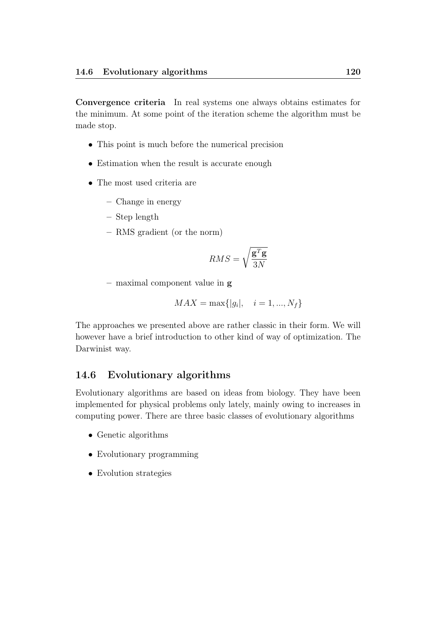Convergence criteria In real systems one always obtains estimates for the minimum. At some point of the iteration scheme the algorithm must be made stop.

- This point is much before the numerical precision
- Estimation when the result is accurate enough
- The most used criteria are
	- Change in energy
	- Step length
	- RMS gradient (or the norm)

$$
RMS = \sqrt{\frac{\mathbf{g}^T \mathbf{g}}{3N}}
$$

 $-$  maximal component value in  $g$ 

$$
MAX = \max\{|g_i|, \quad i = 1, ..., N_f\}
$$

The approaches we presented above are rather classic in their form. We will however have a brief introduction to other kind of way of optimization. The Darwinist way.

### 14.6 Evolutionary algorithms

Evolutionary algorithms are based on ideas from biology. They have been implemented for physical problems only lately, mainly owing to increases in computing power. There are three basic classes of evolutionary algorithms

- Genetic algorithms
- Evolutionary programming
- Evolution strategies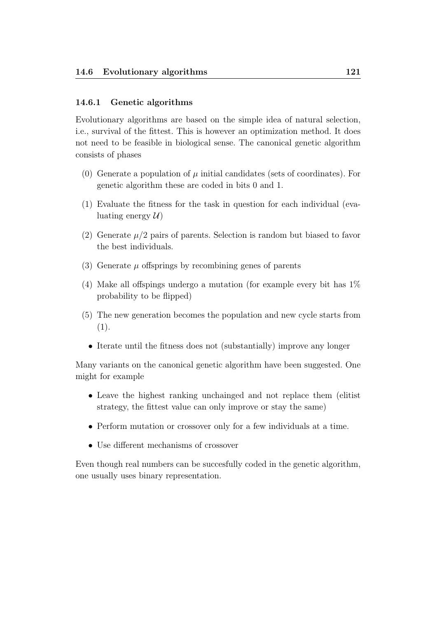### 14.6.1 Genetic algorithms

Evolutionary algorithms are based on the simple idea of natural selection, i.e., survival of the fittest. This is however an optimization method. It does not need to be feasible in biological sense. The canonical genetic algorithm consists of phases

- (0) Generate a population of  $\mu$  initial candidates (sets of coordinates). For genetic algorithm these are coded in bits 0 and 1.
- (1) Evaluate the fitness for the task in question for each individual (evaluating energy  $\mathcal{U}$
- (2) Generate  $\mu/2$  pairs of parents. Selection is random but biased to favor the best individuals.
- (3) Generate  $\mu$  offsprings by recombining genes of parents
- (4) Make all offspings undergo a mutation (for example every bit has 1% probability to be flipped)
- (5) The new generation becomes the population and new cycle starts from (1).
	- Iterate until the fitness does not (substantially) improve any longer

Many variants on the canonical genetic algorithm have been suggested. One might for example

- Leave the highest ranking unchainged and not replace them (elitist strategy, the fittest value can only improve or stay the same)
- Perform mutation or crossover only for a few individuals at a time.
- Use different mechanisms of crossover

Even though real numbers can be succesfully coded in the genetic algorithm, one usually uses binary representation.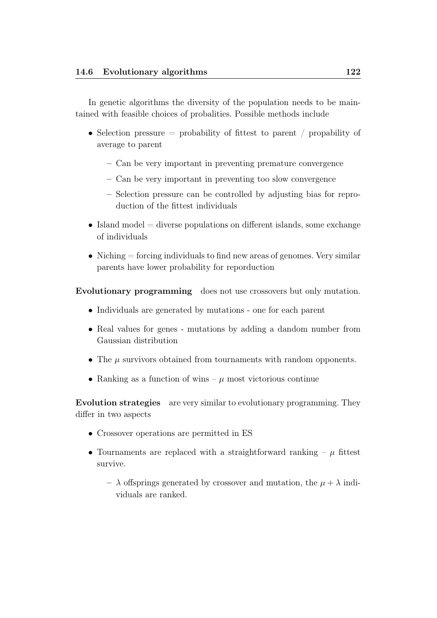In genetic algorithms the diversity of the population needs to be maintained with feasible choices of probalities. Possible methods include

- Selection pressure  $=$  probability of fittest to parent / propability of average to parent
	- Can be very important in preventing premature convergence
	- Can be very important in preventing too slow convergence
	- Selection pressure can be controlled by adjusting bias for reproduction of the fittest individuals
- Island model  $=$  diverse populations on different islands, some exchange of individuals
- Niching  $=$  forcing individuals to find new areas of genomes. Very similar parents have lower probability for reporduction

Evolutionary programming does not use crossovers but only mutation.

- Individuals are generated by mutations one for each parent
- Real values for genes mutations by adding a dandom number from Gaussian distribution
- The  $\mu$  survivors obtained from tournaments with random opponents.
- Ranking as a function of wins  $\mu$  most victorious continue

Evolution strategies are very similar to evolutionary programming. They differ in two aspects

- Crossover operations are permitted in ES
- Tournaments are replaced with a straightforward ranking  $-\mu$  fittest survive.
	- $-\lambda$  offsprings generated by crossover and mutation, the  $\mu + \lambda$  individuals are ranked.